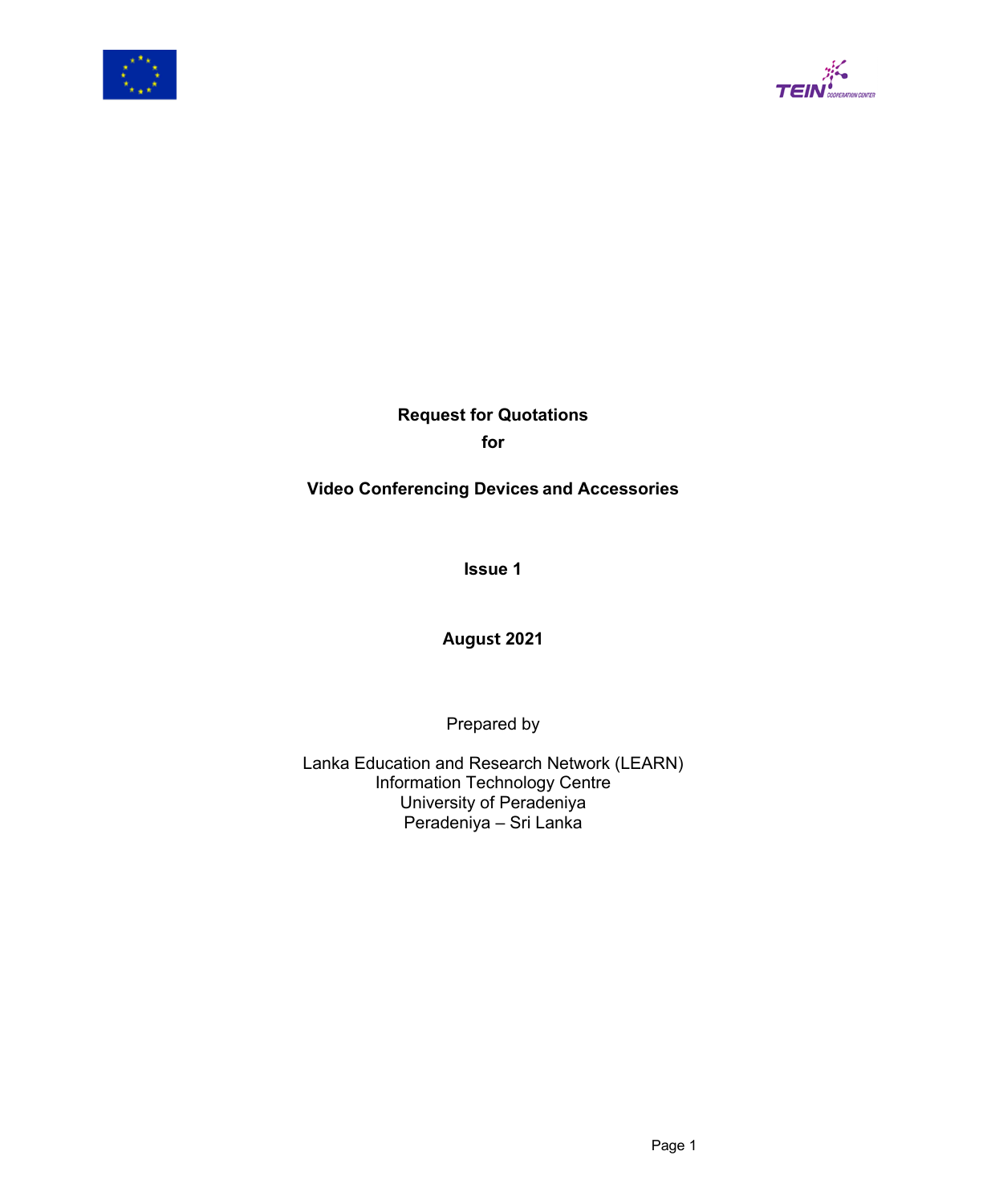



# **Request for Quotations for**

# **Video Conferencing Devices and Accessories**

**Issue 1**

# **August 2021**

Prepared by

Lanka Education and Research Network (LEARN) Information Technology Centre University of Peradeniya Peradeniya – Sri Lanka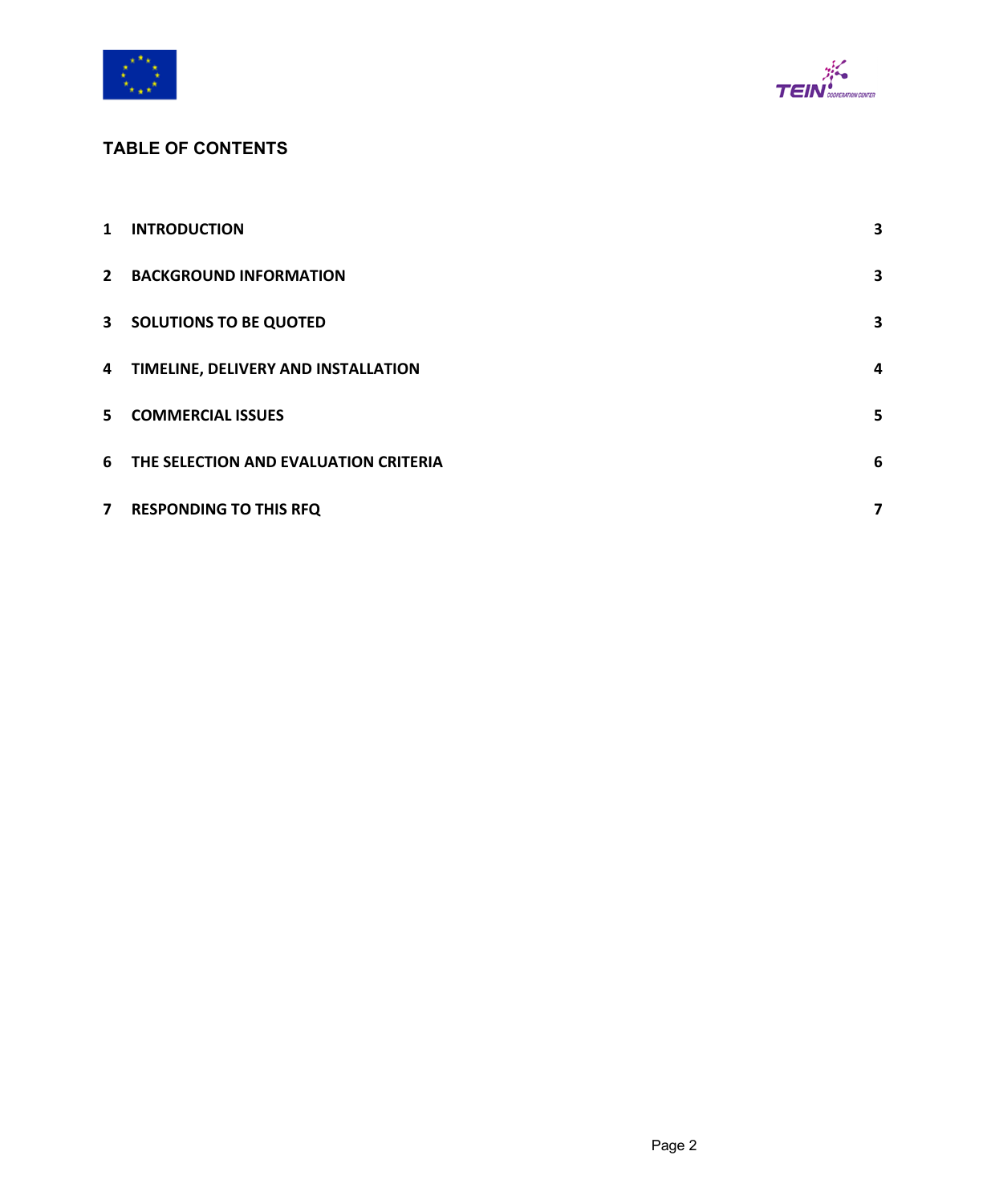



# **TABLE OF CONTENTS**

| $1 \quad$ | <b>INTRODUCTION</b>                   | 3 |
|-----------|---------------------------------------|---|
|           | 2 BACKGROUND INFORMATION              | 3 |
|           | 3 SOLUTIONS TO BE QUOTED              | 3 |
|           | 4 TIMELINE, DELIVERY AND INSTALLATION | 4 |
|           | 5 COMMERCIAL ISSUES                   | 5 |
| 6         | THE SELECTION AND EVALUATION CRITERIA | 6 |
|           | 7 RESPONDING TO THIS RFQ              | 7 |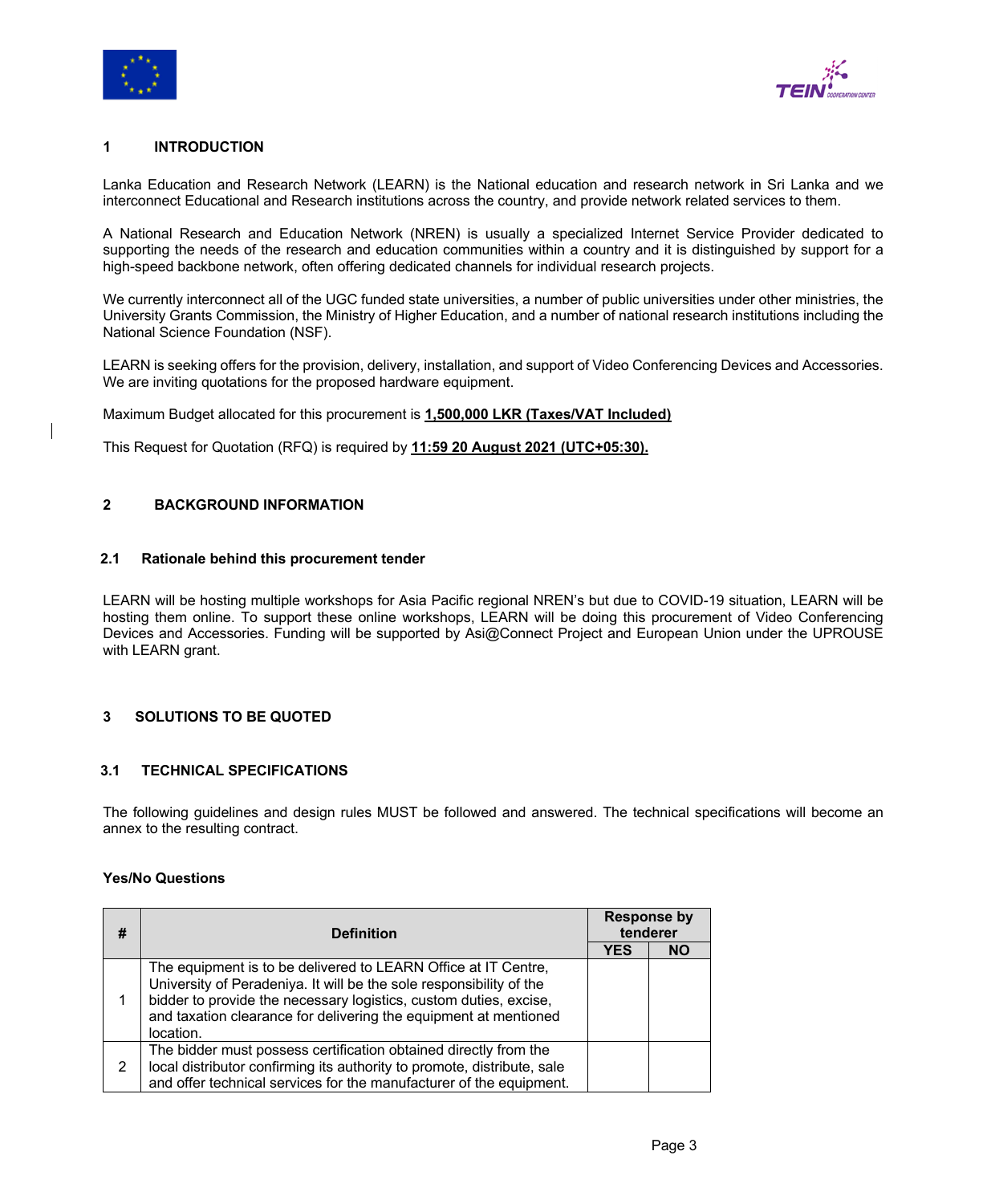



# **1 INTRODUCTION**

Lanka Education and Research Network (LEARN) is the National education and research network in Sri Lanka and we interconnect Educational and Research institutions across the country, and provide network related services to them.

A National Research and Education Network (NREN) is usually a specialized Internet Service Provider dedicated to supporting the needs of the research and education communities within a country and it is distinguished by support for a high-speed backbone network, often offering dedicated channels for individual research projects.

We currently interconnect all of the UGC funded state universities, a number of public universities under other ministries, the University Grants Commission, the Ministry of Higher Education, and a number of national research institutions including the National Science Foundation (NSF).

LEARN is seeking offers for the provision, delivery, installation, and support of Video Conferencing Devices and Accessories. We are inviting quotations for the proposed hardware equipment.

Maximum Budget allocated for this procurement is **1,500,000 LKR (Taxes/VAT Included)**

This Request for Quotation (RFQ) is required by **11:59 20 August 2021 (UTC+05:30).**

#### **2 BACKGROUND INFORMATION**

#### **2.1 Rationale behind this procurement tender**

LEARN will be hosting multiple workshops for Asia Pacific regional NREN's but due to COVID-19 situation, LEARN will be hosting them online. To support these online workshops, LEARN will be doing this procurement of Video Conferencing Devices and Accessories. Funding will be supported by Asi@Connect Project and European Union under the UPROUSE with LEARN grant.

### **3 SOLUTIONS TO BE QUOTED**

#### **3.1 TECHNICAL SPECIFICATIONS**

The following guidelines and design rules MUST be followed and answered. The technical specifications will become an annex to the resulting contract.

#### **Yes/No Questions**

| # | <b>Definition</b>                                                                                                                                                                                                                                                                           | <b>Response by</b><br>tenderer |           |
|---|---------------------------------------------------------------------------------------------------------------------------------------------------------------------------------------------------------------------------------------------------------------------------------------------|--------------------------------|-----------|
|   |                                                                                                                                                                                                                                                                                             | <b>YES</b>                     | <b>NO</b> |
|   | The equipment is to be delivered to LEARN Office at IT Centre,<br>University of Peradeniya. It will be the sole responsibility of the<br>bidder to provide the necessary logistics, custom duties, excise,<br>and taxation clearance for delivering the equipment at mentioned<br>location. |                                |           |
| 2 | The bidder must possess certification obtained directly from the<br>local distributor confirming its authority to promote, distribute, sale<br>and offer technical services for the manufacturer of the equipment.                                                                          |                                |           |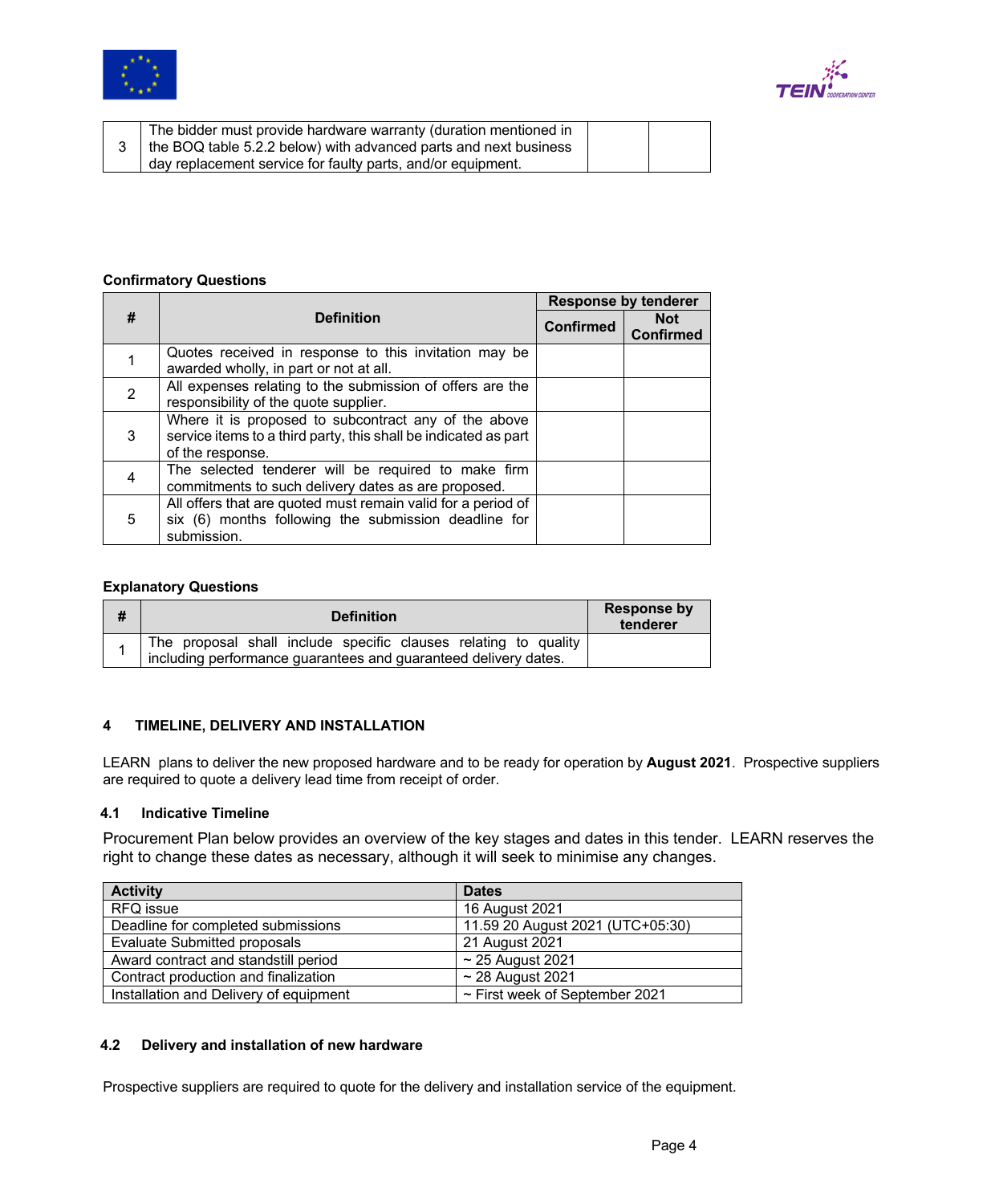



|  | The bidder must provide hardware warranty (duration mentioned in<br>3   the BOQ table 5.2.2 below) with advanced parts and next business<br>day replacement service for faulty parts, and/or equipment. |  |  |
|--|---------------------------------------------------------------------------------------------------------------------------------------------------------------------------------------------------------|--|--|
|--|---------------------------------------------------------------------------------------------------------------------------------------------------------------------------------------------------------|--|--|

### **Confirmatory Questions**

|                |                                                                                                                                             |                  | <b>Response by tenderer</b>    |
|----------------|---------------------------------------------------------------------------------------------------------------------------------------------|------------------|--------------------------------|
| #              | <b>Definition</b>                                                                                                                           | <b>Confirmed</b> | <b>Not</b><br><b>Confirmed</b> |
|                | Quotes received in response to this invitation may be<br>awarded wholly, in part or not at all.                                             |                  |                                |
| $\overline{2}$ | All expenses relating to the submission of offers are the<br>responsibility of the quote supplier.                                          |                  |                                |
| 3              | Where it is proposed to subcontract any of the above<br>service items to a third party, this shall be indicated as part<br>of the response. |                  |                                |
| 4              | The selected tenderer will be required to make firm<br>commitments to such delivery dates as are proposed.                                  |                  |                                |
| 5              | All offers that are quoted must remain valid for a period of<br>six (6) months following the submission deadline for<br>submission.         |                  |                                |

#### **Explanatory Questions**

| <b>Definition</b>                                                                                                                  | <b>Response by</b><br>tenderer |
|------------------------------------------------------------------------------------------------------------------------------------|--------------------------------|
| The proposal shall include specific clauses relating to quality<br>including performance guarantees and guaranteed delivery dates. |                                |

# **4 TIMELINE, DELIVERY AND INSTALLATION**

LEARN plans to deliver the new proposed hardware and to be ready for operation by **August 2021**. Prospective suppliers are required to quote a delivery lead time from receipt of order.

### **4.1 Indicative Timeline**

Procurement Plan below provides an overview of the key stages and dates in this tender. LEARN reserves the right to change these dates as necessary, although it will seek to minimise any changes.

| <b>Activity</b>                        | <b>Dates</b>                     |
|----------------------------------------|----------------------------------|
| RFQ issue                              | 16 August 2021                   |
| Deadline for completed submissions     | 11.59 20 August 2021 (UTC+05:30) |
| <b>Evaluate Submitted proposals</b>    | 21 August 2021                   |
| Award contract and standstill period   | $\sim$ 25 August 2021            |
| Contract production and finalization   | $\sim$ 28 August 2021            |
| Installation and Delivery of equipment | ~ First week of September 2021   |

### **4.2 Delivery and installation of new hardware**

Prospective suppliers are required to quote for the delivery and installation service of the equipment.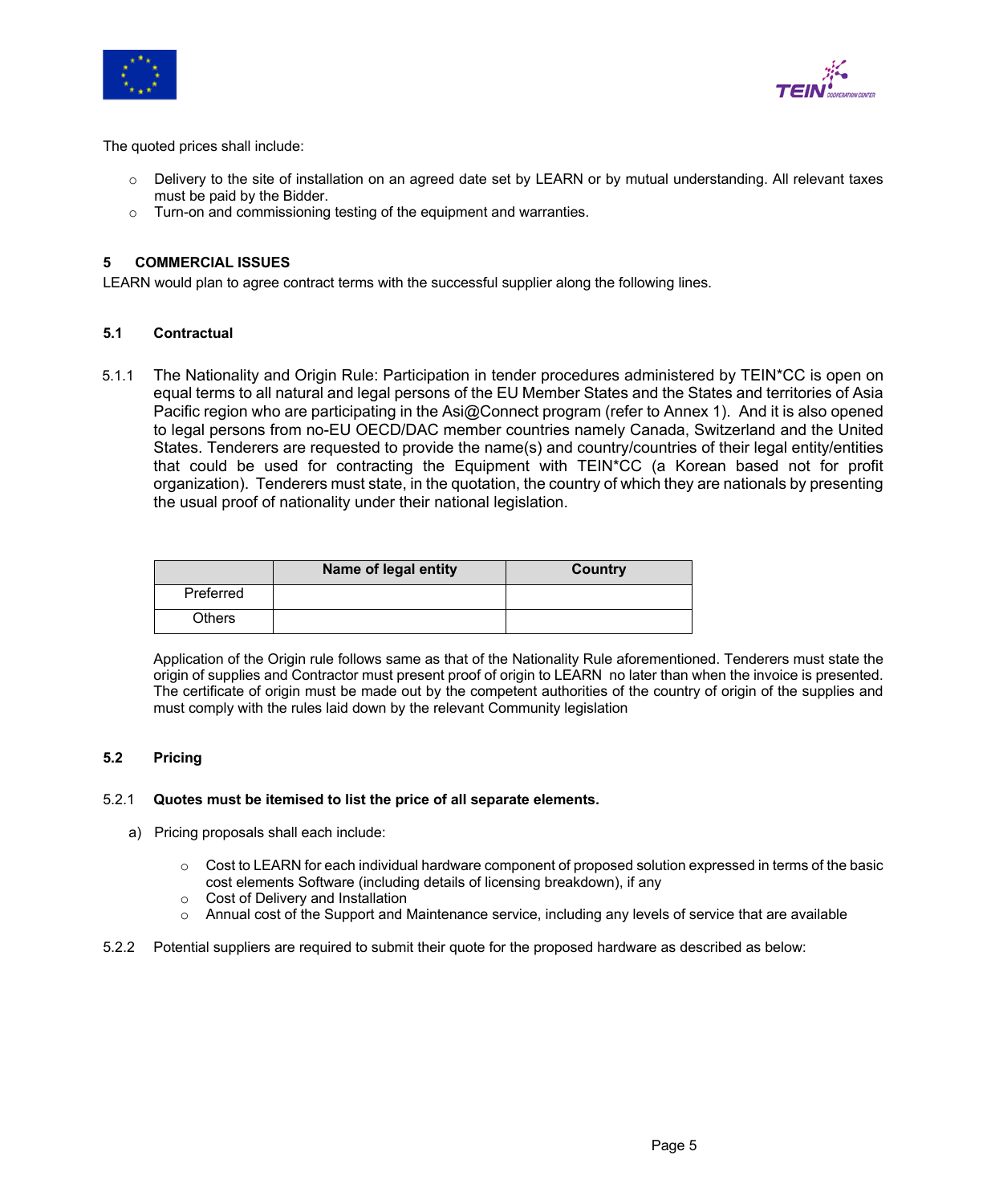



The quoted prices shall include:

- o Delivery to the site of installation on an agreed date set by LEARN or by mutual understanding. All relevant taxes must be paid by the Bidder.
- o Turn-on and commissioning testing of the equipment and warranties.

# **5 COMMERCIAL ISSUES**

LEARN would plan to agree contract terms with the successful supplier along the following lines.

### **5.1 Contractual**

5.1.1 The Nationality and Origin Rule: Participation in tender procedures administered by TEIN\*CC is open on equal terms to all natural and legal persons of the EU Member States and the States and territories of Asia Pacific region who are participating in the Asi@Connect program (refer to Annex 1). And it is also opened to legal persons from no-EU OECD/DAC member countries namely Canada, Switzerland and the United States. Tenderers are requested to provide the name(s) and country/countries of their legal entity/entities that could be used for contracting the Equipment with TEIN\*CC (a Korean based not for profit organization). Tenderers must state, in the quotation, the country of which they are nationals by presenting the usual proof of nationality under their national legislation.

|           | Name of legal entity | Country |
|-----------|----------------------|---------|
| Preferred |                      |         |
| Others    |                      |         |

Application of the Origin rule follows same as that of the Nationality Rule aforementioned. Tenderers must state the origin of supplies and Contractor must present proof of origin to LEARN no later than when the invoice is presented. The certificate of origin must be made out by the competent authorities of the country of origin of the supplies and must comply with the rules laid down by the relevant Community legislation

# **5.2 Pricing**

#### 5.2.1 **Quotes must be itemised to list the price of all separate elements.**

- a) Pricing proposals shall each include:
	- $\circ$  Cost to LEARN for each individual hardware component of proposed solution expressed in terms of the basic cost elements Software (including details of licensing breakdown), if any
	- o Cost of Delivery and Installation
	- $\circ$  Annual cost of the Support and Maintenance service, including any levels of service that are available
- 5.2.2 Potential suppliers are required to submit their quote for the proposed hardware as described as below: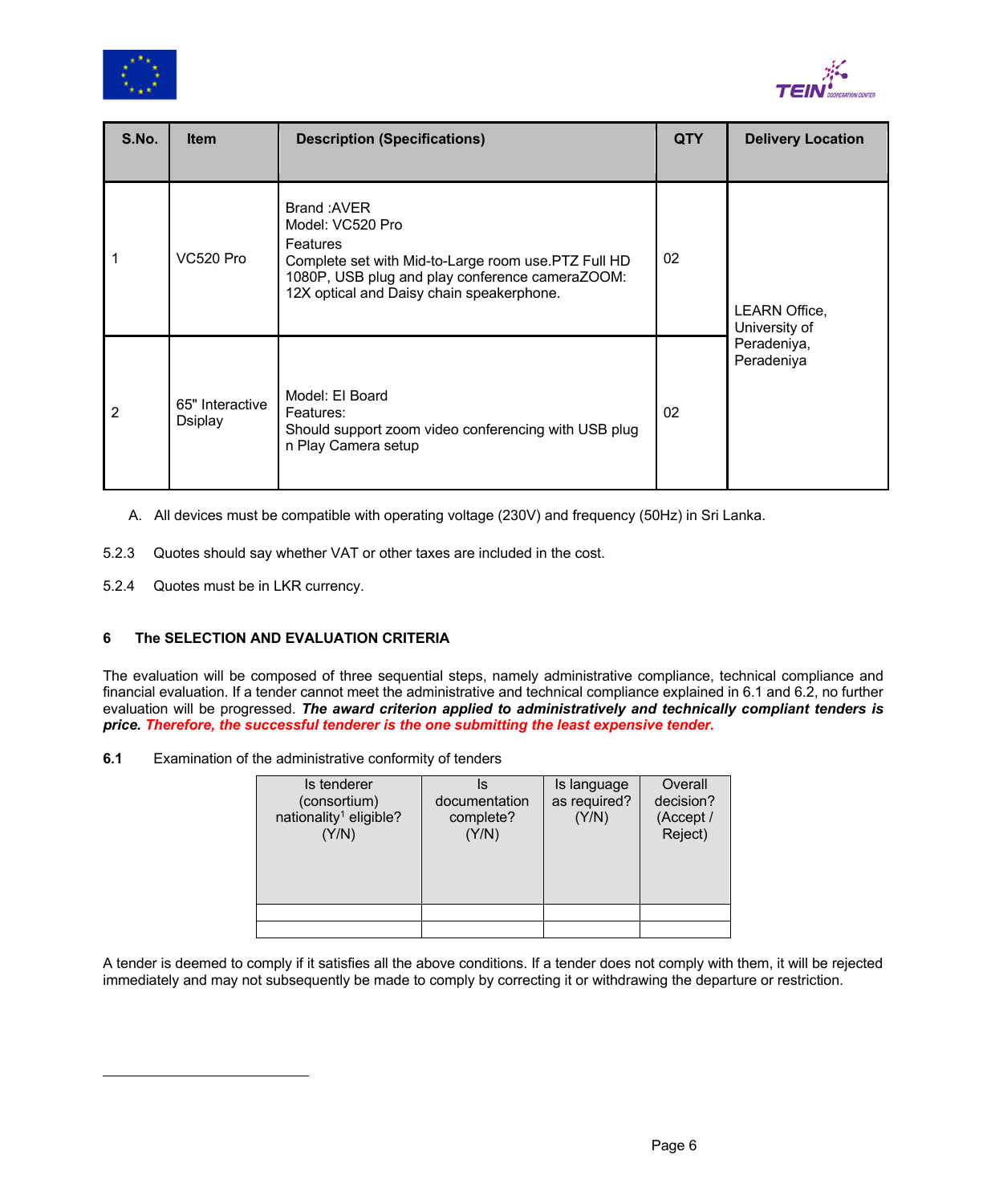



| S.No.          | <b>Item</b>                       | <b>Description (Specifications)</b>                                                                                                                                                                       | <b>QTY</b> | <b>Delivery Location</b>              |  |
|----------------|-----------------------------------|-----------------------------------------------------------------------------------------------------------------------------------------------------------------------------------------------------------|------------|---------------------------------------|--|
|                |                                   |                                                                                                                                                                                                           |            |                                       |  |
|                | VC520 Pro                         | Brand: AVER<br>Model: VC520 Pro<br><b>Features</b><br>Complete set with Mid-to-Large room use.PTZ Full HD<br>1080P, USB plug and play conference cameraZOOM:<br>12X optical and Daisy chain speakerphone. | 02         | <b>LEARN Office,</b><br>University of |  |
| $\overline{2}$ | 65" Interactive<br><b>Dsiplay</b> | Model: El Board<br>Features:<br>Should support zoom video conferencing with USB plug<br>n Play Camera setup                                                                                               | 02         | Peradeniya,<br>Peradeniya             |  |

- A. All devices must be compatible with operating voltage (230V) and frequency (50Hz) in Sri Lanka.
- 5.2.3 Quotes should say whether VAT or other taxes are included in the cost.
- 5.2.4 Quotes must be in LKR currency.

# **6 The SELECTION AND EVALUATION CRITERIA**

The evaluation will be composed of three sequential steps, namely administrative compliance, technical compliance and financial evaluation. If a tender cannot meet the administrative and technical compliance explained in 6.1 and 6.2, no further evaluation will be progressed. *The award criterion applied to administratively and technically compliant tenders is price. Therefore, the successful tenderer is the one submitting the least expensive tender.*

**6.1** Examination of the administrative conformity of tenders

| Is tenderer<br>(consortium)<br>nationality <sup>1</sup> eligible?<br>(Y/N) | lS<br>documentation<br>complete?<br>(Y/N) | Is language<br>as required?<br>(Y/N) | Overall<br>decision?<br>(Accept /<br>Reject) |
|----------------------------------------------------------------------------|-------------------------------------------|--------------------------------------|----------------------------------------------|
|                                                                            |                                           |                                      |                                              |
|                                                                            |                                           |                                      |                                              |

A tender is deemed to comply if it satisfies all the above conditions. If a tender does not comply with them, it will be rejected immediately and may not subsequently be made to comply by correcting it or withdrawing the departure or restriction.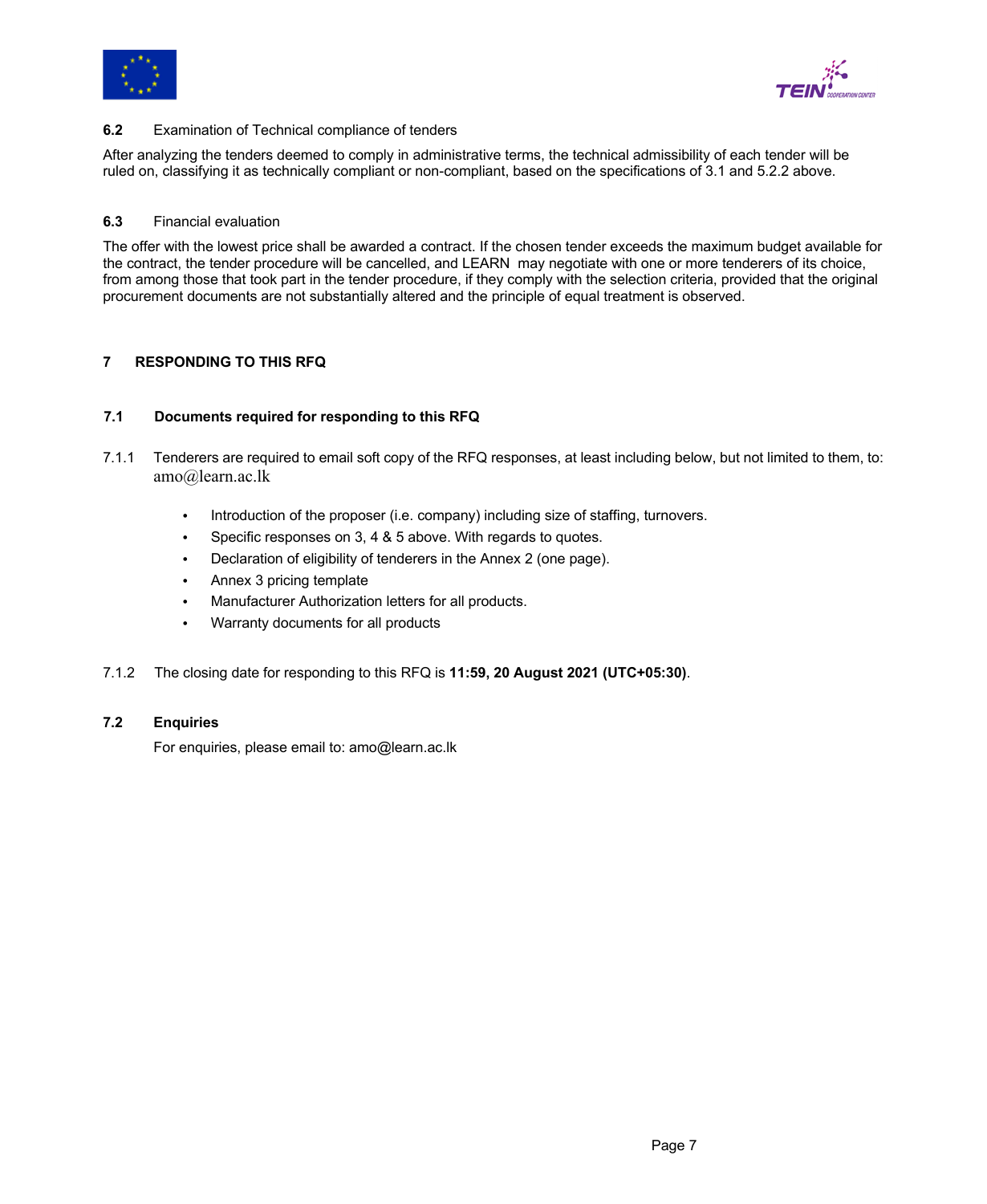



#### **6.2** Examination of Technical compliance of tenders

After analyzing the tenders deemed to comply in administrative terms, the technical admissibility of each tender will be ruled on, classifying it as technically compliant or non-compliant, based on the specifications of 3.1 and 5.2.2 above.

### **6.3** Financial evaluation

The offer with the lowest price shall be awarded a contract. If the chosen tender exceeds the maximum budget available for the contract, the tender procedure will be cancelled, and LEARN may negotiate with one or more tenderers of its choice, from among those that took part in the tender procedure, if they comply with the selection criteria, provided that the original procurement documents are not substantially altered and the principle of equal treatment is observed.

# **7 RESPONDING TO THIS RFQ**

# **7.1 Documents required for responding to this RFQ**

- 7.1.1 Tenderers are required to email soft copy of the RFQ responses, at least including below, but not limited to them, to: amo@learn.ac.lk
	- Introduction of the proposer (i.e. company) including size of staffing, turnovers.
	- Specific responses on 3, 4 & 5 above. With regards to quotes.
	- Declaration of eligibility of tenderers in the Annex 2 (one page).
	- Annex 3 pricing template
	- Manufacturer Authorization letters for all products.
	- Warranty documents for all products
- 7.1.2 The closing date for responding to this RFQ is **11:59, 20 August 2021 (UTC+05:30)**.

# **7.2 Enquiries**

For enquiries, please email to: amo@learn.ac.lk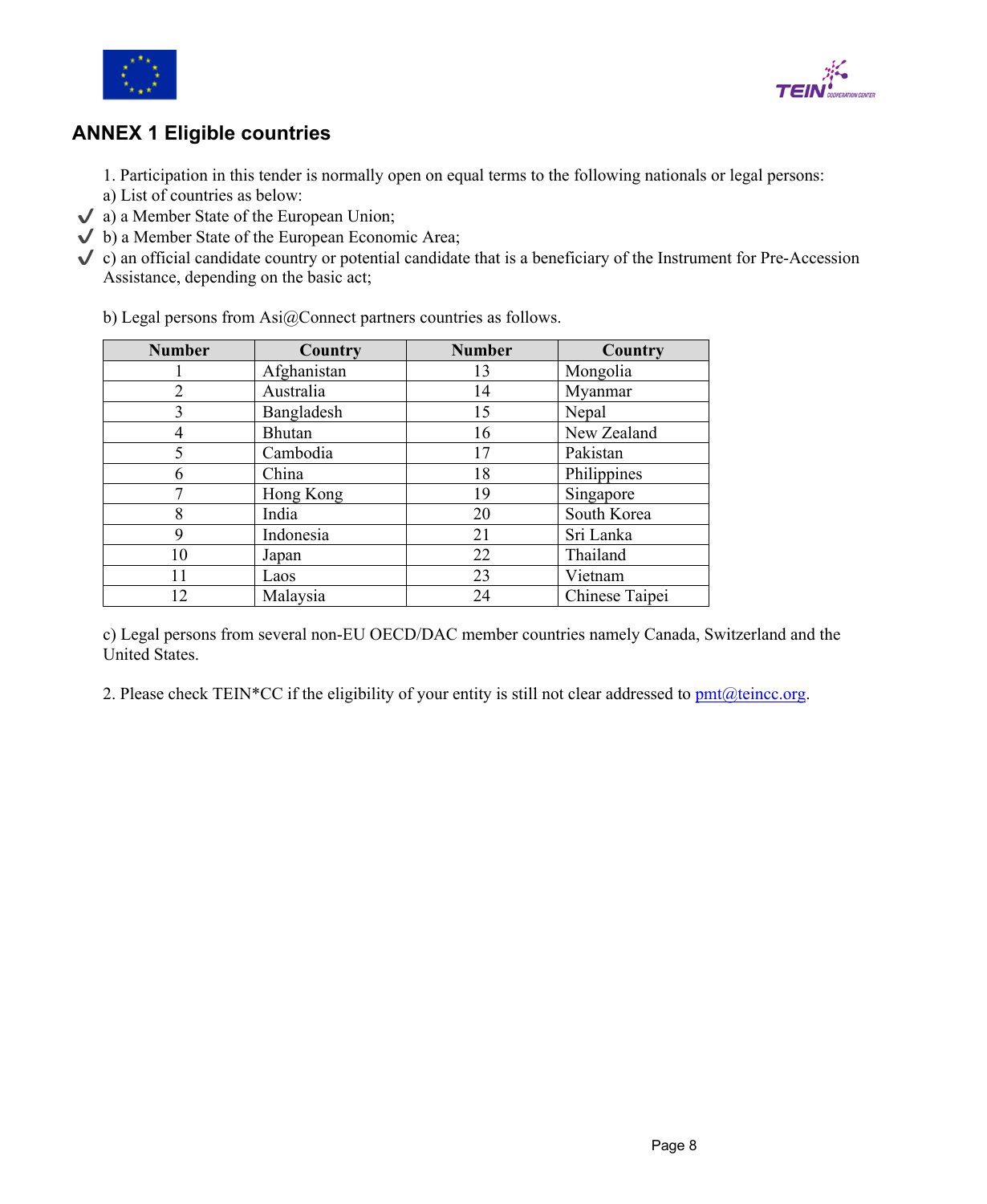



# **ANNEX 1 Eligible countries**

1. Participation in this tender is normally open on equal terms to the following nationals or legal persons:

- a) List of countries as below:
- $\blacktriangleright$  a) a Member State of the European Union;
- $\checkmark$  b) a Member State of the European Economic Area;
- $\checkmark$  c) an official candidate country or potential candidate that is a beneficiary of the Instrument for Pre-Accession Assistance, depending on the basic act;

b) Legal persons from Asi@Connect partners countries as follows.

| <b>Number</b> | <b>Country</b> | <b>Number</b> | Country        |
|---------------|----------------|---------------|----------------|
|               | Afghanistan    | 13            | Mongolia       |
|               | Australia      | 14            | Myanmar        |
| 3             | Bangladesh     | 15            | Nepal          |
| 4             | <b>Bhutan</b>  | 16            | New Zealand    |
|               | Cambodia       | 17            | Pakistan       |
|               | China          | 18            | Philippines    |
|               | Hong Kong      | 19            | Singapore      |
| 8             | India          | 20            | South Korea    |
| 9             | Indonesia      | 21            | Sri Lanka      |
| 10            | Japan          | 22            | Thailand       |
| 11            | Laos           | 23            | Vietnam        |
| 12            | Malaysia       | 24            | Chinese Taipei |

c) Legal persons from several non-EU OECD/DAC member countries namely Canada, Switzerland and the United States.

2. Please check TEIN\*CC if the eligibility of your entity is still not clear addressed to pmt@teincc.org.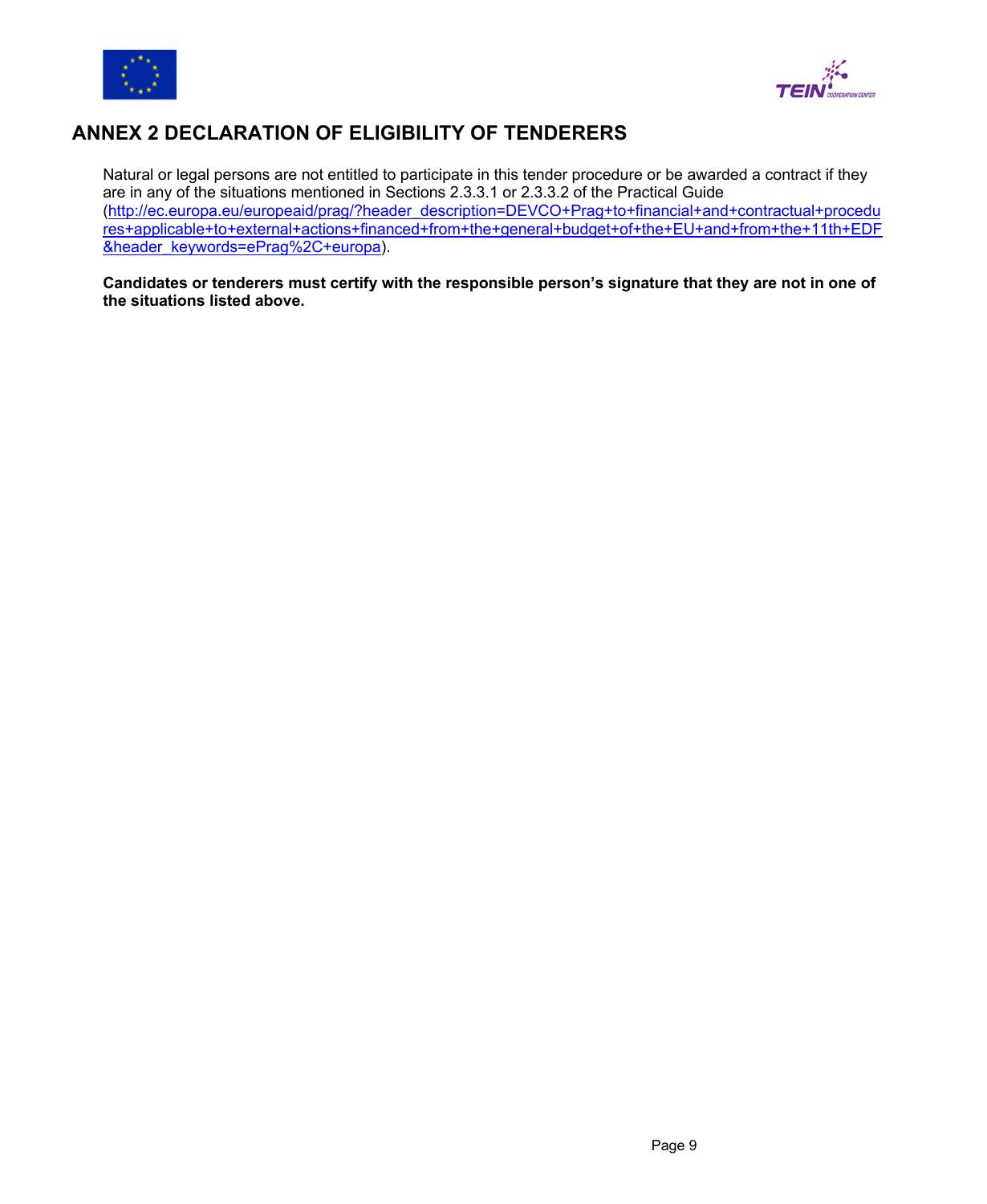



# **ANNEX 2 DECLARATION OF ELIGIBILITY OF TENDERERS**

Natural or legal persons are not entitled to participate in this tender procedure or be awarded a contract if they are in any of the situations mentioned in Sections 2.3.3.1 or 2.3.3.2 of the Practical Guide (http://ec.europa.eu/europeaid/prag/?header\_description=DEVCO+Prag+to+financial+and+contractual+procedu res+applicable+to+external+actions+financed+from+the+general+budget+of+the+EU+and+from+the+11th+EDF &header\_keywords=ePrag%2C+europa).

**Candidates or tenderers must certify with the responsible person's signature that they are not in one of the situations listed above.**